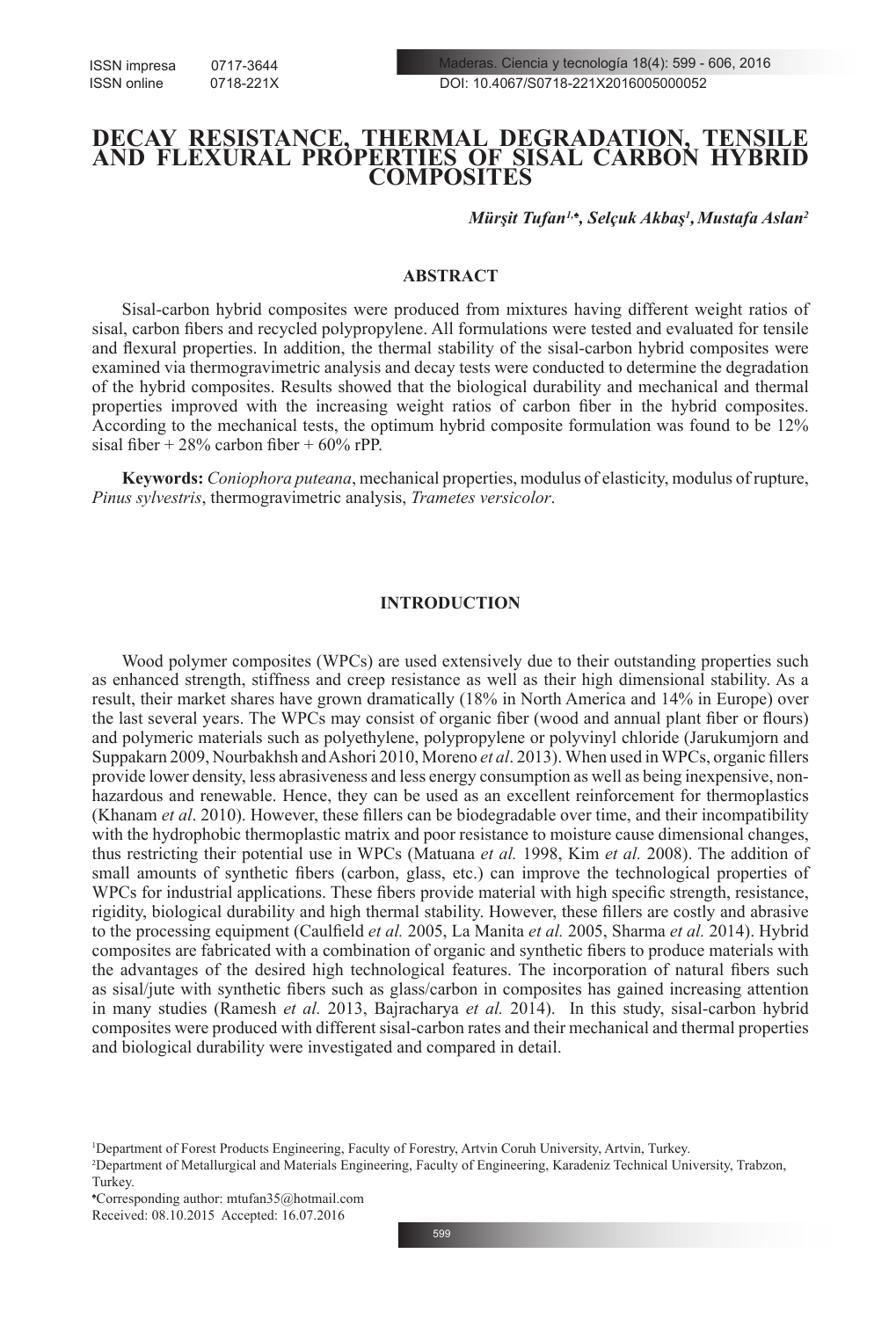ISSN impresa 0717-3644 ISSN online 0718-221X

# **DECAY RESISTANCE, THERMAL DEGRADATION, TENSILE AND FLEXURAL PROPERTIES OF SISAL CARBON HYBRID COMPOSITES**

*Mürşit Tufan<sup>1</sup>,♠, Selçuk Akbaş<sup>1</sup> ,Mustafa Aslan<sup>2</sup>*

## **ABSTRACT**

Sisal-carbon hybrid composites were produced from mixtures having different weight ratios of sisal, carbon fibers and recycled polypropylene. All formulations were tested and evaluated for tensile and flexural properties. In addition, the thermal stability of the sisal-carbon hybrid composites were examined via thermogravimetric analysis and decay tests were conducted to determine the degradation of the hybrid composites. Results showed that the biological durability and mechanical and thermal properties improved with the increasing weight ratios of carbon fiber in the hybrid composites. According to the mechanical tests, the optimum hybrid composite formulation was found to be 12% sisal fiber +  $28\%$  carbon fiber +  $60\%$  rPP.

**Keywords:** *Coniophora puteana*, mechanical properties, modulus of elasticity, modulus of rupture, *Pinus sylvestris*, thermogravimetric analysis, *Trametes versicolor*.

# **INTRODUCTION**

Wood polymer composites (WPCs) are used extensively due to their outstanding properties such as enhanced strength, stiffness and creep resistance as well as their high dimensional stability. As a result, their market shares have grown dramatically (18% in North America and 14% in Europe) over the last several years. The WPCs may consist of organic fiber (wood and annual plant fiber or flours) and polymeric materials such as polyethylene, polypropylene or polyvinyl chloride (Jarukumjorn and Suppakarn 2009, Nourbakhsh and Ashori 2010, Moreno *et al*. 2013). When used in WPCs, organic fillers provide lower density, less abrasiveness and less energy consumption as well as being inexpensive, nonhazardous and renewable. Hence, they can be used as an excellent reinforcement for thermoplastics (Khanam *et al*. 2010). However, these fillers can be biodegradable over time, and their incompatibility with the hydrophobic thermoplastic matrix and poor resistance to moisture cause dimensional changes, thus restricting their potential use in WPCs (Matuana *et al.* 1998, Kim *et al.* 2008). The addition of small amounts of synthetic fibers (carbon, glass, etc.) can improve the technological properties of WPCs for industrial applications. These fibers provide material with high specific strength, resistance, rigidity, biological durability and high thermal stability. However, these fillers are costly and abrasive to the processing equipment (Caulfield *et al.* 2005, La Manita *et al.* 2005, Sharma *et al.* 2014). Hybrid composites are fabricated with a combination of organic and synthetic fibers to produce materials with the advantages of the desired high technological features. The incorporation of natural fibers such as sisal/jute with synthetic fibers such as glass/carbon in composites has gained increasing attention in many studies (Ramesh *et al.* 2013, Bajracharya *et al.* 2014). In this study, sisal-carbon hybrid composites were produced with different sisal-carbon rates and their mechanical and thermal properties and biological durability were investigated and compared in detail.

<sup>1</sup> Department of Forest Products Engineering, Faculty of Forestry, Artvin Coruh University, Artvin, Turkey.

<sup>2</sup> Department of Metallurgical and Materials Engineering, Faculty of Engineering, Karadeniz Technical University, Trabzon, Turkey.

<sup>♠</sup> Corresponding author: mtufan35@hotmail.com

Received: 08.10.2015 Accepted: 16.07.2016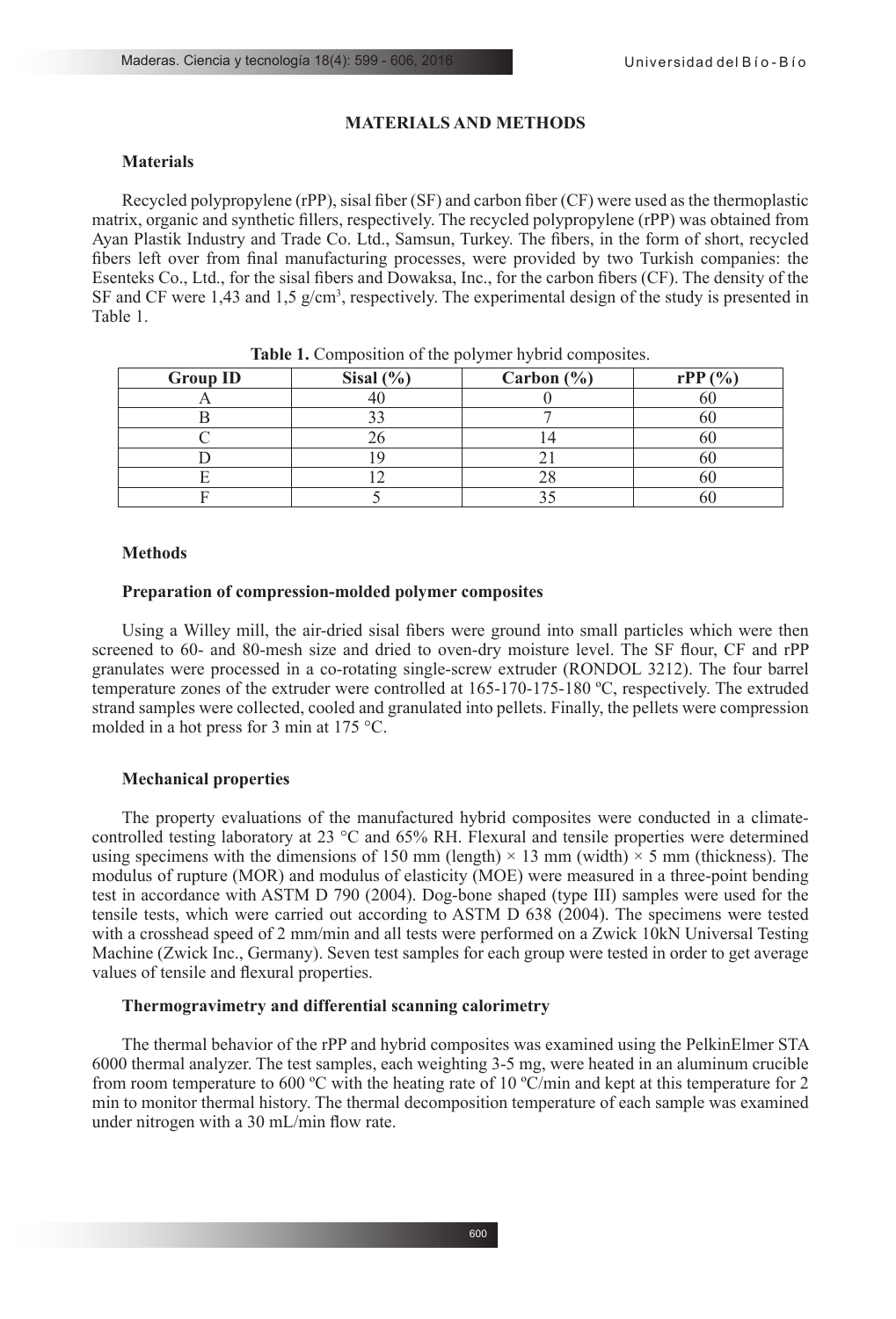### **MATERIALS AND METHODS**

## **Materials**

Recycled polypropylene (rPP), sisal fiber (SF) and carbon fiber (CF) were used as the thermoplastic matrix, organic and synthetic fillers, respectively. The recycled polypropylene (rPP) was obtained from Ayan Plastik Industry and Trade Co. Ltd., Samsun, Turkey. The fibers, in the form of short, recycled fibers left over from final manufacturing processes, were provided by two Turkish companies: the Esenteks Co., Ltd., for the sisal fibers and Dowaksa, Inc., for the carbon fibers (CF). The density of the SF and CF were  $1,43$  and  $1,5$  g/cm<sup>3</sup>, respectively. The experimental design of the study is presented in Table 1.

| <b>Group ID</b> | Sisal $(\% )$ | Carbon $(\% )$ | rPP(%) |
|-----------------|---------------|----------------|--------|
|                 |               |                | vu     |
|                 |               |                | υι     |
|                 |               |                | ou     |
|                 |               |                | ΟU     |
|                 |               | 28             | ou     |
|                 |               |                | л      |

**Table 1.** Composition of the polymer hybrid composites.

### **Methods**

#### **Preparation of compression-molded polymer composites**

Using a Willey mill, the air-dried sisal fibers were ground into small particles which were then screened to 60- and 80-mesh size and dried to oven-dry moisture level. The SF flour, CF and rPP granulates were processed in a co-rotating single-screw extruder (RONDOL 3212). The four barrel temperature zones of the extruder were controlled at 165-170-175-180 ºC, respectively. The extruded strand samples were collected, cooled and granulated into pellets. Finally, the pellets were compression molded in a hot press for 3 min at 175 °C.

### **Mechanical properties**

The property evaluations of the manufactured hybrid composites were conducted in a climatecontrolled testing laboratory at 23 °C and 65% RH. Flexural and tensile properties were determined using specimens with the dimensions of 150 mm (length)  $\times$  13 mm (width)  $\times$  5 mm (thickness). The modulus of rupture (MOR) and modulus of elasticity (MOE) were measured in a three-point bending test in accordance with ASTM D 790 (2004). Dog-bone shaped (type III) samples were used for the tensile tests, which were carried out according to ASTM D 638 (2004). The specimens were tested with a crosshead speed of 2 mm/min and all tests were performed on a Zwick 10kN Universal Testing Machine (Zwick Inc., Germany). Seven test samples for each group were tested in order to get average values of tensile and flexural properties.

### **Thermogravimetry and differential scanning calorimetry**

The thermal behavior of the rPP and hybrid composites was examined using the PelkinElmer STA 6000 thermal analyzer. The test samples, each weighting 3-5 mg, were heated in an aluminum crucible from room temperature to 600 ºC with the heating rate of 10 ºC/min and kept at this temperature for 2 min to monitor thermal history. The thermal decomposition temperature of each sample was examined under nitrogen with a 30 mL/min flow rate.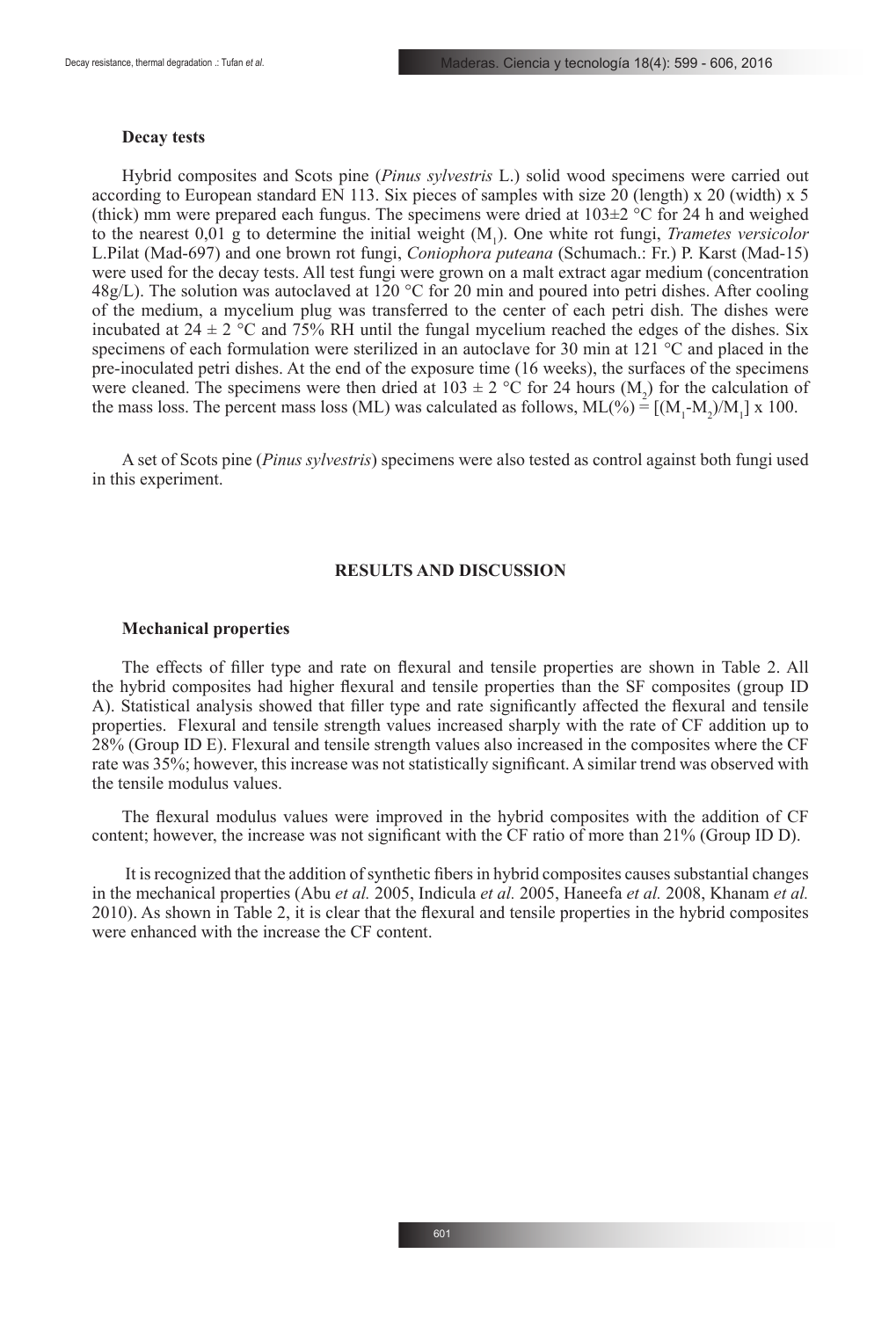#### **Decay tests**

Hybrid composites and Scots pine (*Pinus sylvestris* L.) solid wood specimens were carried out according to European standard EN 113. Six pieces of samples with size 20 (length) x 20 (width) x 5 (thick) mm were prepared each fungus. The specimens were dried at  $103\pm2$  °C for 24 h and weighed to the nearest  $0.01$  g to determine the initial weight  $(M_1)$ . One white rot fungi, *Trametes versicolor* L.Pilat (Mad-697) and one brown rot fungi, *Coniophora puteana* (Schumach.: Fr.) P. Karst (Mad-15) were used for the decay tests. All test fungi were grown on a malt extract agar medium (concentration 48g/L). The solution was autoclaved at 120 °C for 20 min and poured into petri dishes. After cooling of the medium, a mycelium plug was transferred to the center of each petri dish. The dishes were incubated at  $24 \pm 2$  °C and 75% RH until the fungal mycelium reached the edges of the dishes. Six specimens of each formulation were sterilized in an autoclave for 30 min at 121 °C and placed in the pre-inoculated petri dishes. At the end of the exposure time (16 weeks), the surfaces of the specimens were cleaned. The specimens were then dried at  $103 \pm 2$  °C for 24 hours (M<sub>2</sub>) for the calculation of the mass loss. The percent mass loss (ML) was calculated as follows,  $ML(\%) = [(M_1-M_2)/M_1] \times 100$ .

A set of Scots pine (*Pinus sylvestris*) specimens were also tested as control against both fungi used in this experiment.

### **RESULTS AND DISCUSSION**

### **Mechanical properties**

The effects of filler type and rate on flexural and tensile properties are shown in Table 2. All the hybrid composites had higher flexural and tensile properties than the SF composites (group ID A). Statistical analysis showed that filler type and rate significantly affected the flexural and tensile properties. Flexural and tensile strength values increased sharply with the rate of CF addition up to 28% (Group ID E). Flexural and tensile strength values also increased in the composites where the CF rate was 35%; however, this increase was not statistically significant. A similar trend was observed with the tensile modulus values.

The flexural modulus values were improved in the hybrid composites with the addition of CF content; however, the increase was not significant with the CF ratio of more than 21% (Group ID D).

 It is recognized that the addition of synthetic fibers in hybrid composites causes substantial changes in the mechanical properties (Abu *et al.* 2005, Indicula *et al.* 2005, Haneefa *et al.* 2008, Khanam *et al.* 2010). As shown in Table 2, it is clear that the flexural and tensile properties in the hybrid composites were enhanced with the increase the CF content.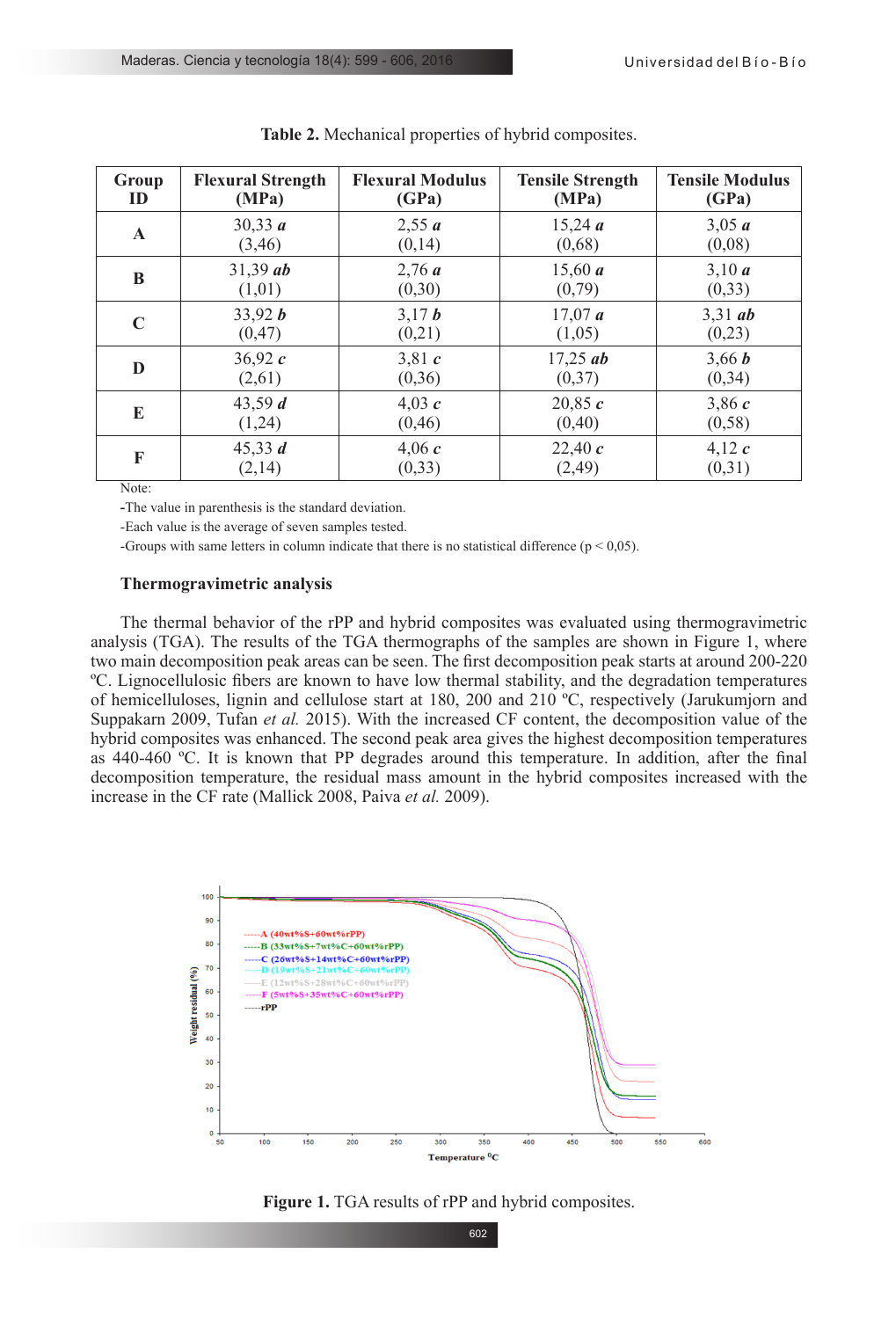| Group       | <b>Flexural Strength</b> | <b>Flexural Modulus</b> | <b>Tensile Strength</b> | <b>Tensile Modulus</b> |
|-------------|--------------------------|-------------------------|-------------------------|------------------------|
| ID          | (MPa)                    | (GPa)                   | (MPa)                   | (GPa)                  |
| $\mathbf A$ | 30,33 a                  | 2,55 a                  | 15,24a                  | 3,05 a                 |
|             | (3,46)                   | (0,14)                  | (0,68)                  | (0,08)                 |
| B           | $31,39$ ab               | 2,76a                   | 15,60 a                 | 3,10 a                 |
|             | (1,01)                   | (0,30)                  | (0,79)                  | (0,33)                 |
| $\mathbf C$ | 33,92 b                  | 3,17 b                  | 17,07a                  | $3,31$ ab              |
|             | (0, 47)                  | (0,21)                  | (1,05)                  | (0,23)                 |
| D           | 36,92c                   | 3,81c                   | $17,25$ ab              | 3,66 b                 |
|             | (2,61)                   | (0,36)                  | (0,37)                  | (0, 34)                |
| E           | 43,59 $d$                | 4,03 $c$                | 20,85c                  | 3,86c                  |
|             | (1,24)                   | (0, 46)                 | (0, 40)                 | (0, 58)                |
| F           | 45,33 $d$                | 4,06 $c$                | 22,40 $c$               | 4,12 $c$               |
|             | (2,14)                   | (0, 33)                 | (2, 49)                 | (0,31)                 |

**Table 2.** Mechanical properties of hybrid composites.

Note:

**-**The value in parenthesis is the standard deviation.

-Each value is the average of seven samples tested.

-Groups with same letters in column indicate that there is no statistical difference  $(p < 0.05)$ .

#### **Thermogravimetric analysis**

The thermal behavior of the rPP and hybrid composites was evaluated using thermogravimetric analysis (TGA). The results of the TGA thermographs of the samples are shown in Figure 1, where two main decomposition peak areas can be seen. The first decomposition peak starts at around 200-220 ºC. Lignocellulosic fibers are known to have low thermal stability, and the degradation temperatures of hemicelluloses, lignin and cellulose start at 180, 200 and 210 ºC, respectively (Jarukumjorn and Suppakarn 2009, Tufan *et al.* 2015). With the increased CF content, the decomposition value of the hybrid composites was enhanced. The second peak area gives the highest decomposition temperatures as 440-460 ºC. It is known that PP degrades around this temperature. In addition, after the final decomposition temperature, the residual mass amount in the hybrid composites increased with the increase in the CF rate (Mallick 2008, Paiva *et al.* 2009).



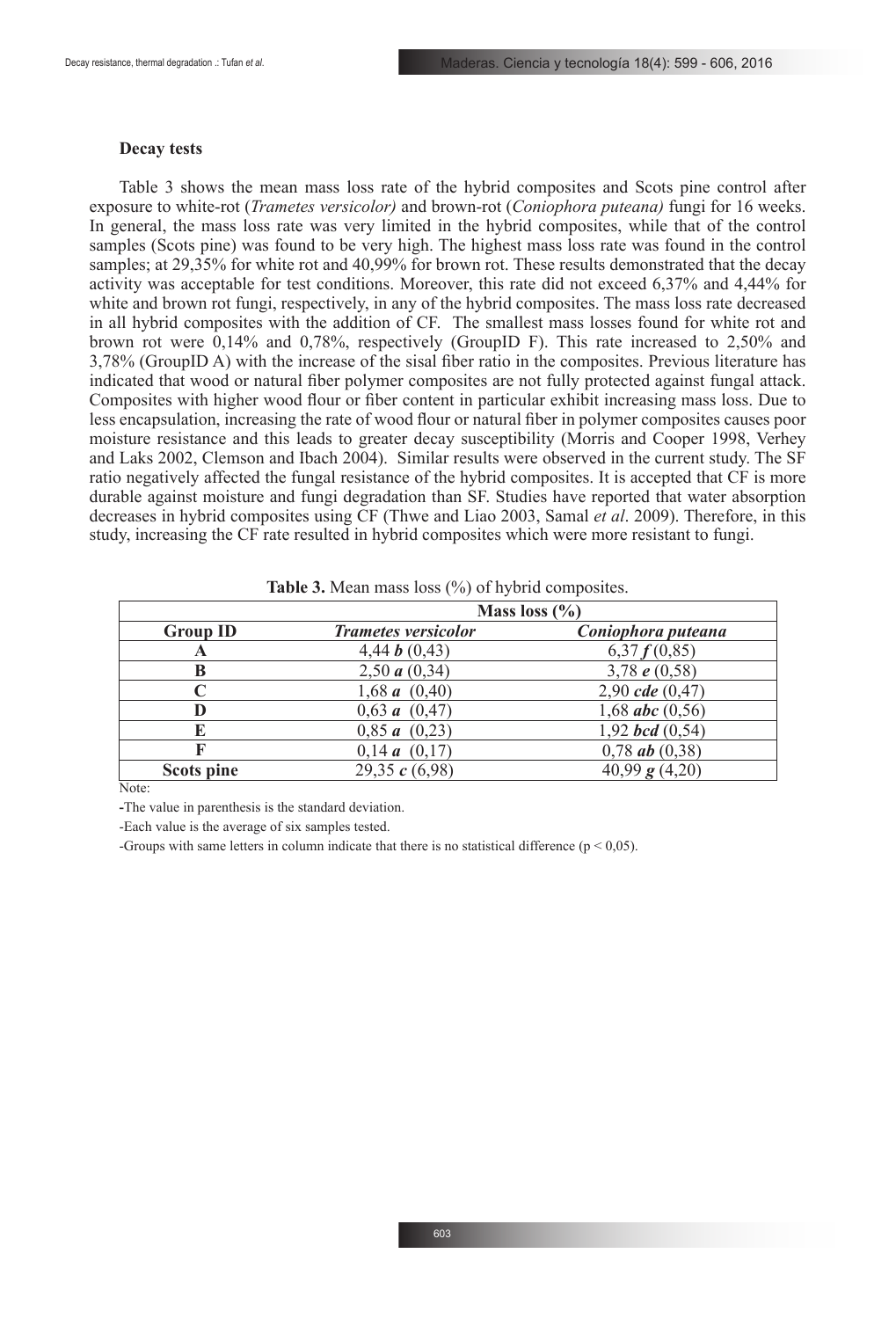#### **Decay tests**

Table 3 shows the mean mass loss rate of the hybrid composites and Scots pine control after exposure to white-rot (*Trametes versicolor)* and brown-rot (*Coniophora puteana)* fungi for 16 weeks. In general, the mass loss rate was very limited in the hybrid composites, while that of the control samples (Scots pine) was found to be very high. The highest mass loss rate was found in the control samples; at 29,35% for white rot and 40,99% for brown rot. These results demonstrated that the decay activity was acceptable for test conditions. Moreover, this rate did not exceed 6,37% and 4,44% for white and brown rot fungi, respectively, in any of the hybrid composites. The mass loss rate decreased in all hybrid composites with the addition of CF. The smallest mass losses found for white rot and brown rot were 0,14% and 0,78%, respectively (GroupID F). This rate increased to 2,50% and 3,78% (GroupID A) with the increase of the sisal fiber ratio in the composites. Previous literature has indicated that wood or natural fiber polymer composites are not fully protected against fungal attack. Composites with higher wood flour or fiber content in particular exhibit increasing mass loss. Due to less encapsulation, increasing the rate of wood flour or natural fiber in polymer composites causes poor moisture resistance and this leads to greater decay susceptibility (Morris and Cooper 1998, Verhey and Laks 2002, Clemson and Ibach 2004). Similar results were observed in the current study. The SF ratio negatively affected the fungal resistance of the hybrid composites. It is accepted that CF is more durable against moisture and fungi degradation than SF. Studies have reported that water absorption decreases in hybrid composites using CF (Thwe and Liao 2003, Samal *et al*. 2009). Therefore, in this study, increasing the CF rate resulted in hybrid composites which were more resistant to fungi.

|                 |                            | Mass loss $(\% )$        |
|-----------------|----------------------------|--------------------------|
| <b>Group ID</b> | <b>Trametes versicolor</b> | Coniophora puteana       |
| A               | 4,44 $\bm{b}$ (0,43)       | 6,37f(0,85)              |
| B               | 2,50 $a(0,34)$             | 3,78 $e$ (0,58)          |
|                 | 1,68 $a(0,40)$             | 2,90 $cde(0,47)$         |
|                 | 0,63 a (0,47)              | 1,68 <i>abc</i> $(0,56)$ |
| E               | 0,85 a (0,23)              | 1,92 bcd $(0,54)$        |
|                 | 0,14a(0,17)                | $0,78$ ab $(0,38)$       |
| Scots pine      | 29,35 $c(6,98)$            | 40,99 $g(4,20)$          |

| <b>Table 3.</b> Mean mass loss $(\%)$ of hybrid composites. |  |  |  |
|-------------------------------------------------------------|--|--|--|
|-------------------------------------------------------------|--|--|--|

Note<sup>.</sup>

**-**The value in parenthesis is the standard deviation.

-Each value is the average of six samples tested.

-Groups with same letters in column indicate that there is no statistical difference ( $p < 0.05$ ).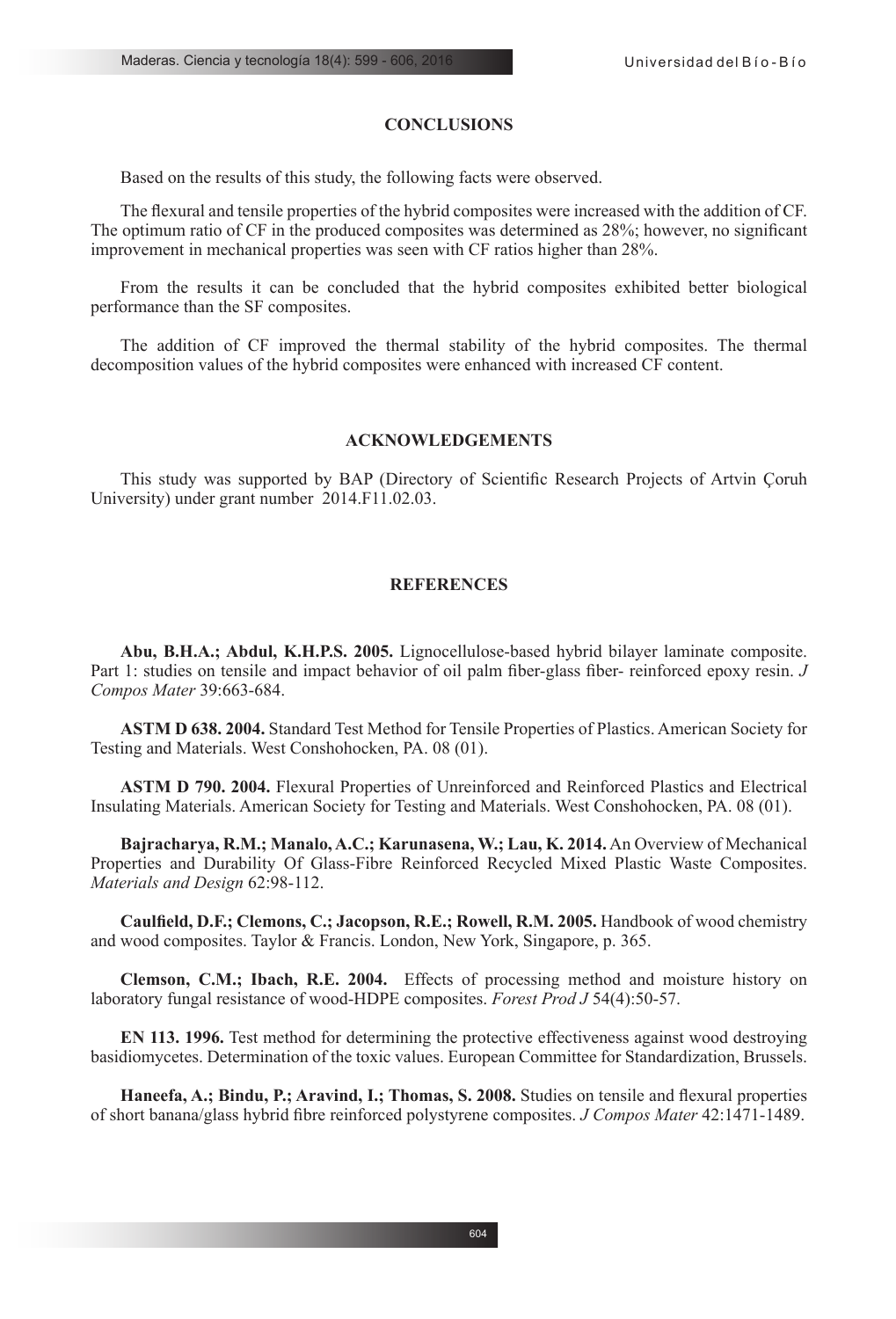### **CONCLUSIONS**

Based on the results of this study, the following facts were observed.

The flexural and tensile properties of the hybrid composites were increased with the addition of CF. The optimum ratio of CF in the produced composites was determined as 28%; however, no significant improvement in mechanical properties was seen with CF ratios higher than 28%.

From the results it can be concluded that the hybrid composites exhibited better biological performance than the SF composites.

The addition of CF improved the thermal stability of the hybrid composites. The thermal decomposition values of the hybrid composites were enhanced with increased CF content.

# **ACKNOWLEDGEMENTS**

This study was supported by BAP (Directory of Scientific Research Projects of Artvin Çoruh University) under grant number 2014.F11.02.03.

### **REFERENCES**

**Abu, B.H.A.; Abdul, K.H.P.S. 2005.** Lignocellulose-based hybrid bilayer laminate composite. Part 1: studies on tensile and impact behavior of oil palm fiber-glass fiber- reinforced epoxy resin. *J Compos Mater* 39:663-684.

**ASTM D 638. 2004.** Standard Test Method for Tensile Properties of Plastics. American Society for Testing and Materials. West Conshohocken, PA. 08 (01).

**ASTM D 790. 2004.** Flexural Properties of Unreinforced and Reinforced Plastics and Electrical Insulating Materials. American Society for Testing and Materials. West Conshohocken, PA. 08 (01).

**Bajracharya, R.M.; Manalo, A.C.; Karunasena, W.; Lau, K. 2014.** An Overview of Mechanical Properties and Durability Of Glass-Fibre Reinforced Recycled Mixed Plastic Waste Composites. *Materials and Design* 62:98-112.

**Caulfield, D.F.; Clemons, C.; Jacopson, R.E.; Rowell, R.M. 2005.** Handbook of wood chemistry and wood composites. Taylor & Francis. London, New York, Singapore, p. 365.

**Clemson, C.M.; Ibach, R.E. 2004.** Effects of processing method and moisture history on laboratory fungal resistance of wood-HDPE composites. *Forest Prod J* 54(4):50-57.

**EN 113. 1996.** Test method for determining the protective effectiveness against wood destroying basidiomycetes. Determination of the toxic values. European Committee for Standardization, Brussels.

**Haneefa, A.; Bindu, P.; Aravind, I.; Thomas, S. 2008.** Studies on tensile and flexural properties of short banana/glass hybrid fibre reinforced polystyrene composites. *J Compos Mater* 42:1471-1489.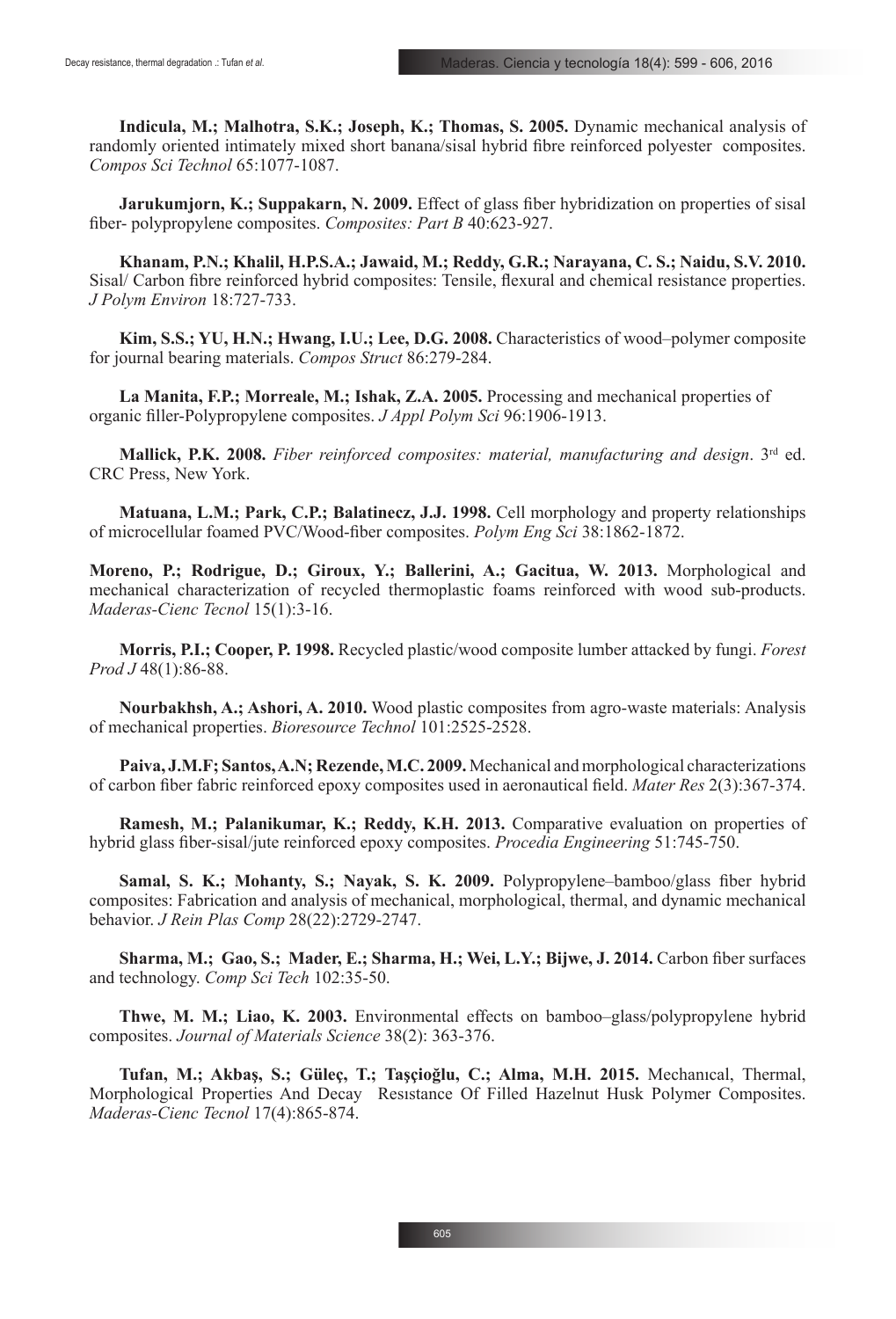**Indicula, M.; Malhotra, S.K.; Joseph, K.; Thomas, S. 2005.** Dynamic mechanical analysis of randomly oriented intimately mixed short banana/sisal hybrid fibre reinforced polyester composites. *Compos Sci Technol* 65:1077-1087.

**Jarukumjorn, K.; Suppakarn, N. 2009.** Effect of glass fiber hybridization on properties of sisal fiber- polypropylene composites. *Composites: Part B* 40:623-927.

**Khanam, P.N.; Khalil, H.P.S.A.; Jawaid, M.; Reddy, G.R.; Narayana, C. S.; Naidu, S.V. 2010.** Sisal/ Carbon fibre reinforced hybrid composites: Tensile, flexural and chemical resistance properties. *J Polym Environ* 18:727-733.

**Kim, S.S.; YU, H.N.; Hwang, I.U.; Lee, D.G. 2008.** Characteristics of wood–polymer composite for journal bearing materials. *Compos Struct* 86:279-284.

**La Manita, F.P.; Morreale, M.; Ishak, Z.A. 2005.** Processing and mechanical properties of organic filler-Polypropylene composites. *J Appl Polym Sci* 96:1906-1913.

**Mallick, P.K. 2008.** *Fiber reinforced composites: material, manufacturing and design*. 3rd ed. CRC Press, New York.

**Matuana, L.M.; Park, C.P.; Balatinecz, J.J. 1998.** Cell morphology and property relationships of microcellular foamed PVC/Wood-fiber composites. *Polym Eng Sci* 38:1862-1872.

**Moreno, P.; Rodrigue, D.; Giroux, Y.; Ballerini, A.; Gacitua, W. 2013.** Morphological and mechanical characterization of recycled thermoplastic foams reinforced with wood sub-products. *Maderas-Cienc Tecnol* 15(1):3-16.

**Morris, P.I.; Cooper, P. 1998.** Recycled plastic/wood composite lumber attacked by fungi. *Forest Prod J* 48(1):86-88.

**Nourbakhsh, A.; Ashori, A. 2010.** Wood plastic composites from agro-waste materials: Analysis of mechanical properties. *Bioresource Technol* 101:2525-2528.

**Paiva, J.M.F; Santos, A.N; Rezende, M.C. 2009.** Mechanical and morphological characterizations of carbon fiber fabric reinforced epoxy composites used in aeronautical field. *Mater Res* 2(3):367-374.

**Ramesh, M.; Palanikumar, K.; Reddy, K.H. 2013.** Comparative evaluation on properties of hybrid glass fiber-sisal/jute reinforced epoxy composites. *Procedia Engineering* 51:745-750.

**Samal, S. K.; Mohanty, S.; Nayak, S. K. 2009.** Polypropylene–bamboo/glass fiber hybrid composites: Fabrication and analysis of mechanical, morphological, thermal, and dynamic mechanical behavior. *J Rein Plas Comp* 28(22):2729-2747.

**Sharma, M.; Gao, S.; Mader, E.; Sharma, H.; Wei, L.Y.; Bijwe, J. 2014.** Carbon fiber surfaces and technology. *Comp Sci Tech* 102:35-50.

**Thwe, M. M.; Liao, K. 2003.** Environmental effects on bamboo–glass/polypropylene hybrid composites. *Journal of Materials Science* 38(2): 363-376.

**Tufan, M.; Akbaş, S.; Güleç, T.; Taşçioğlu, C.; Alma, M.H. 2015.** Mechanıcal, Thermal, Morphological Properties And Decay Resıstance Of Filled Hazelnut Husk Polymer Composites. *Maderas-Cienc Tecnol* 17(4):865-874.